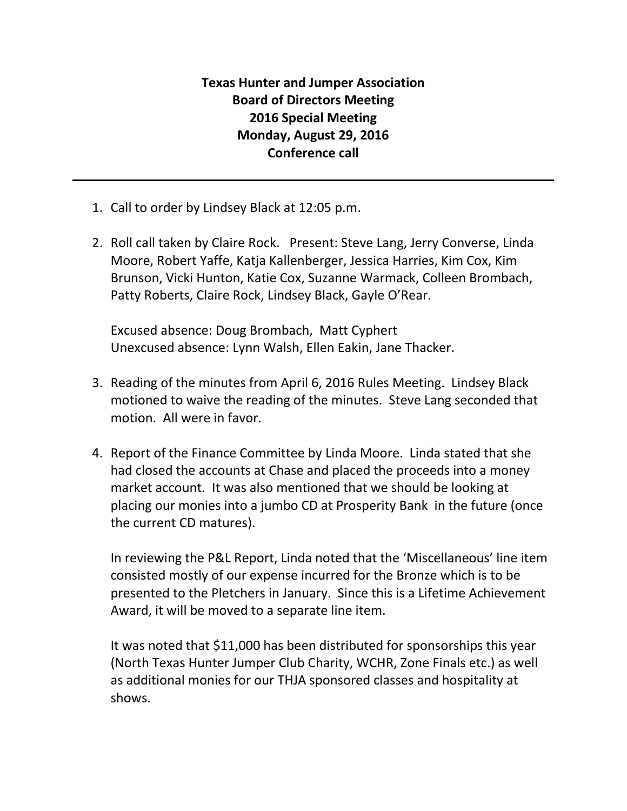## **Texas Hunter and Jumper Association Board of Directors Meeting 2016 Special Meeting Monday, August 29, 2016 Conference call**

- 1. Call to order by Lindsey Black at 12:05 p.m.
- 2. Roll call taken by Claire Rock. Present: Steve Lang, Jerry Converse, Linda Moore, Robert Yaffe, Katja Kallenberger, Jessica Harries, Kim Cox, Kim Brunson, Vicki Hunton, Katie Cox, Suzanne Warmack, Colleen Brombach, Patty Roberts, Claire Rock, Lindsey Black, Gayle O'Rear.

Excused absence: Doug Brombach, Matt Cyphert Unexcused absence: Lynn Walsh, Ellen Eakin, Jane Thacker.

- 3. Reading of the minutes from April 6, 2016 Rules Meeting. Lindsey Black motioned to waive the reading of the minutes. Steve Lang seconded that motion. All were in favor.
- 4. Report of the Finance Committee by Linda Moore. Linda stated that she had closed the accounts at Chase and placed the proceeds into a money market account. It was also mentioned that we should be looking at placing our monies into a jumbo CD at Prosperity Bank in the future (once the current CD matures).

In reviewing the P&L Report, Linda noted that the 'Miscellaneous' line item consisted mostly of our expense incurred for the Bronze which is to be presented to the Pletchers in January. Since this is a Lifetime Achievement Award, it will be moved to a separate line item.

It was noted that \$11,000 has been distributed for sponsorships this year (North Texas Hunter Jumper Club Charity, WCHR, Zone Finals etc.) as well as additional monies for our THJA sponsored classes and hospitality at shows.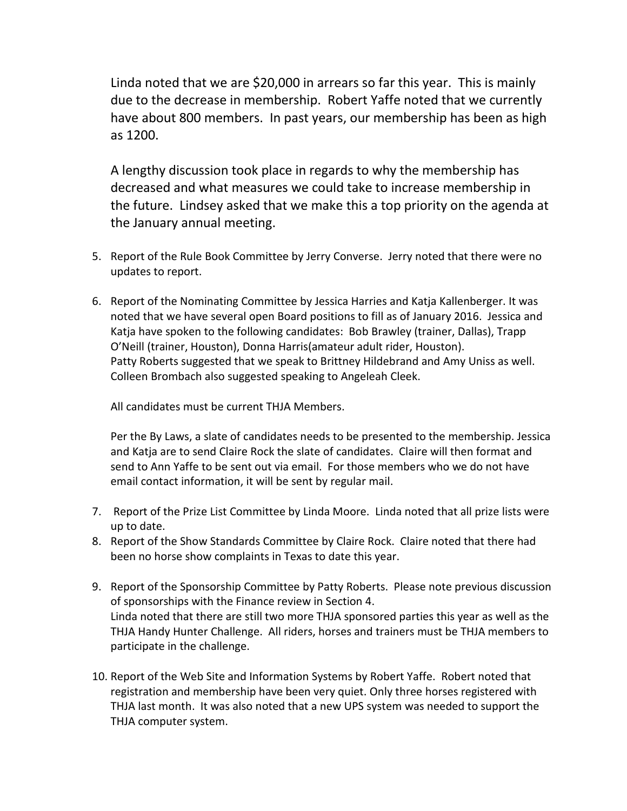Linda noted that we are \$20,000 in arrears so far this year. This is mainly due to the decrease in membership. Robert Yaffe noted that we currently have about 800 members. In past years, our membership has been as high as 1200.

A lengthy discussion took place in regards to why the membership has decreased and what measures we could take to increase membership in the future. Lindsey asked that we make this a top priority on the agenda at the January annual meeting.

- 5. Report of the Rule Book Committee by Jerry Converse. Jerry noted that there were no updates to report.
- 6. Report of the Nominating Committee by Jessica Harries and Katja Kallenberger. It was noted that we have several open Board positions to fill as of January 2016. Jessica and Katja have spoken to the following candidates: Bob Brawley (trainer, Dallas), Trapp O'Neill (trainer, Houston), Donna Harris(amateur adult rider, Houston). Patty Roberts suggested that we speak to Brittney Hildebrand and Amy Uniss as well. Colleen Brombach also suggested speaking to Angeleah Cleek.

All candidates must be current THJA Members.

Per the By Laws, a slate of candidates needs to be presented to the membership. Jessica and Katja are to send Claire Rock the slate of candidates. Claire will then format and send to Ann Yaffe to be sent out via email. For those members who we do not have email contact information, it will be sent by regular mail.

- 7. Report of the Prize List Committee by Linda Moore. Linda noted that all prize lists were up to date.
- 8. Report of the Show Standards Committee by Claire Rock. Claire noted that there had been no horse show complaints in Texas to date this year.
- 9. Report of the Sponsorship Committee by Patty Roberts. Please note previous discussion of sponsorships with the Finance review in Section 4. Linda noted that there are still two more THJA sponsored parties this year as well as the THJA Handy Hunter Challenge. All riders, horses and trainers must be THJA members to participate in the challenge.
- 10. Report of the Web Site and Information Systems by Robert Yaffe. Robert noted that registration and membership have been very quiet. Only three horses registered with THJA last month. It was also noted that a new UPS system was needed to support the THJA computer system.